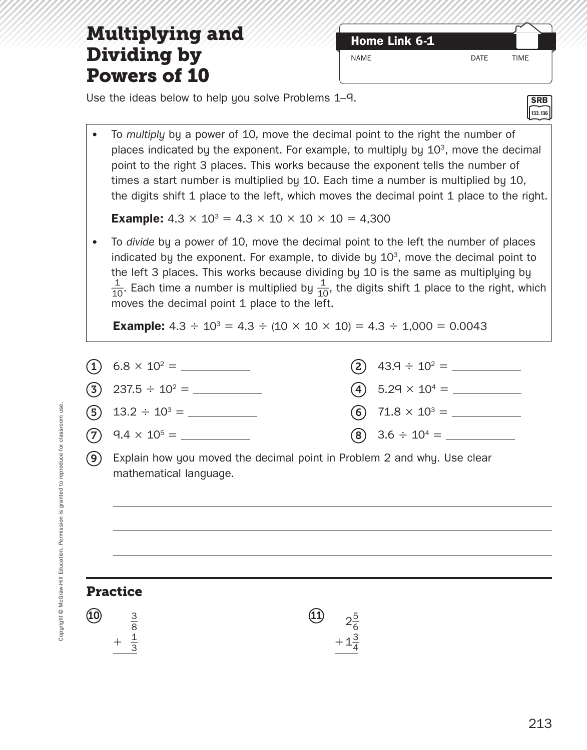### **Multiplying and <b>***Home Link 6-1* **Dividing by Powers of 10**

NAME DATE TIME

Use the ideas below to help you solve Problems 1–9.

• To *multiply* by a power of 10, move the decimal point to the right the number of places indicated by the exponent. For example, to multiply by  $10<sup>3</sup>$ , move the decimal point to the right 3 places. This works because the exponent tells the number of times a start number is multiplied by 10. Each time a number is multiplied by 10, the digits shift 1 place to the left, which moves the decimal point 1 place to the right.

**Example:**  $4.3 \times 10^3 = 4.3 \times 10 \times 10 \times 10 = 4,300$ 

• To *divide* by a power of 10, move the decimal point to the left the number of places indicated by the exponent. For example, to divide by  $10<sup>3</sup>$ , move the decimal point to the left 3 places. This works because dividing by 10 is the same as multiplying by the left 3 places. This works because dividing by 10 is the same as multiplying by<br> $\frac{1}{10}$ . Each time a number is multiplied by  $\frac{1}{10}$ , the digits shift 1 place to the right, which moves the decimal point 1 place to the left.

**Example:**  $4.3 \div 10^3 = 4.3 \div (10 \times 10 \times 10) = 4.3 \div 1,000 = 0.0043$ 



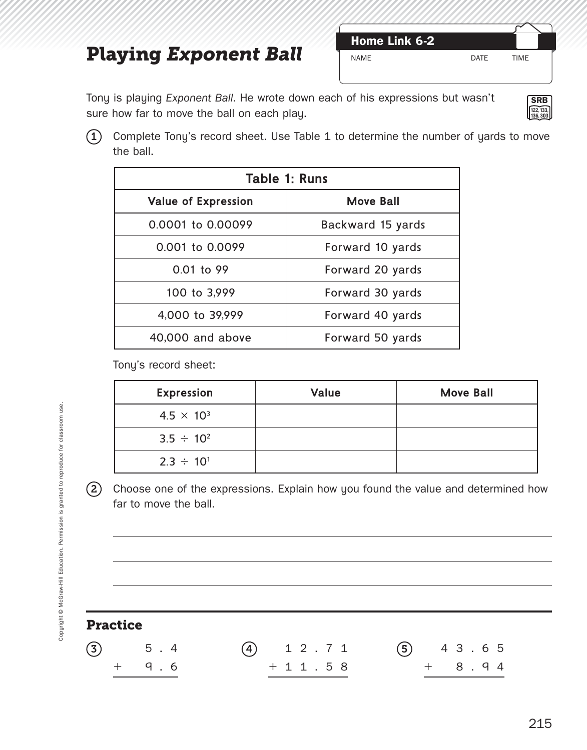# **Playing Exponent Ball**

| Home Link 6-2 |      |             |
|---------------|------|-------------|
| NAME          | DATF | <b>TIMF</b> |

Tony is playing *Exponent Ball*. He wrote down each of his expressions but wasn't sure how far to move the ball on each play.



 $(1)$  Complete Tony's record sheet. Use Table 1 to determine the number of yards to move the ball.

| Table 1: Runs                        |                   |  |  |
|--------------------------------------|-------------------|--|--|
| <b>Value of Expression</b>           | <b>Move Ball</b>  |  |  |
| 0.0001 to 0.00099                    | Backward 15 yards |  |  |
| 0.001 to 0.0099<br>Forward 10 yards  |                   |  |  |
| 0.01 to 99<br>Forward 20 yards       |                   |  |  |
| 100 to 3,999<br>Forward 30 yards     |                   |  |  |
| 4,000 to 39,999                      | Forward 40 yards  |  |  |
| 40,000 and above<br>Forward 50 yards |                   |  |  |

Tony's record sheet:

| <b>Expression</b>   | <b>Value</b> | <b>Move Ball</b> |
|---------------------|--------------|------------------|
| $4.5 \times 10^{3}$ |              |                  |
| $3.5 \div 10^{2}$   |              |                  |
| $2.3 \div 10^{1}$   |              |                  |

2 Choose one of the expressions. Explain how you found the value and determined how far to move the ball.

| <b>Practice</b> |     |     |             |  |               |  |
|-----------------|-----|-----|-------------|--|---------------|--|
| (3)             |     | 5.4 | $(4)$ 12.71 |  | $(5)$ 4 3 6 5 |  |
|                 | $+$ | 9.6 | $+11.58$    |  | $+$ 8.94      |  |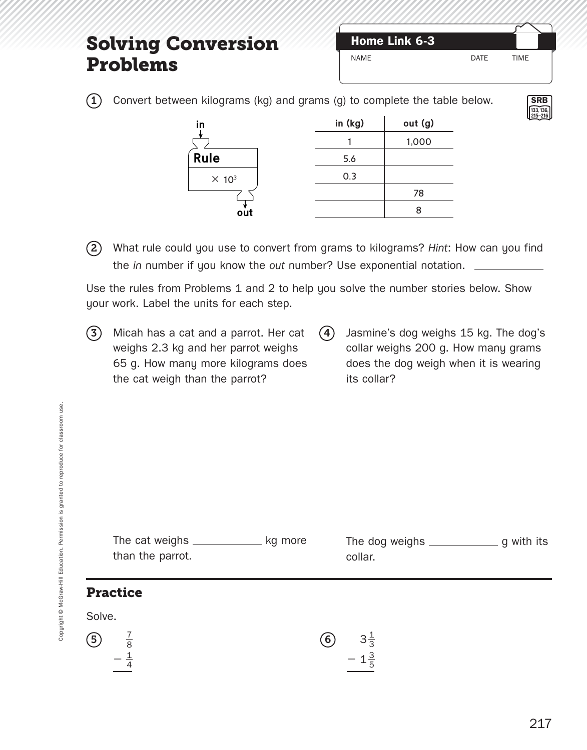### **Solving Conversion Problems**

| Home Link 6-3 |             |             |
|---------------|-------------|-------------|
| <b>NAMF</b>   | <b>DATF</b> | <b>TIMF</b> |

**SRB 133, 136, 215–216**

 $(1)$  Convert between kilograms (kg) and grams (g) to complete the table below.

| in (kg) | out (g) |
|---------|---------|
|         | 1,000   |
| 5.6     |         |
| 0.3     |         |
|         | 78      |
|         | 8       |
|         |         |

2 What rule could you use to convert from grams to kilograms? *Hint*: How can you find the *in* number if you know the *out* number? Use exponential notation.

Use the rules from Problems 1 and 2 to help you solve the number stories below. Show your work. Label the units for each step.

- $(3)$  Micah has a cat and a parrot. Her cat weighs 2.3 kg and her parrot weighs 65 g. How many more kilograms does the cat weigh than the parrot?
- (4) Jasmine's dog weighs 15 kg. The dog's collar weighs 200 g. How many grams does the dog weigh when it is wearing its collar?

|        | than the parrot.              | kg more | collar.                            |  |
|--------|-------------------------------|---------|------------------------------------|--|
|        | <b>Practice</b>               |         |                                    |  |
| Solve. |                               |         |                                    |  |
| (5)    | $rac{1}{8}$<br>$-\frac{1}{4}$ | (6)     | $3\frac{1}{3}$<br>- $1\frac{3}{5}$ |  |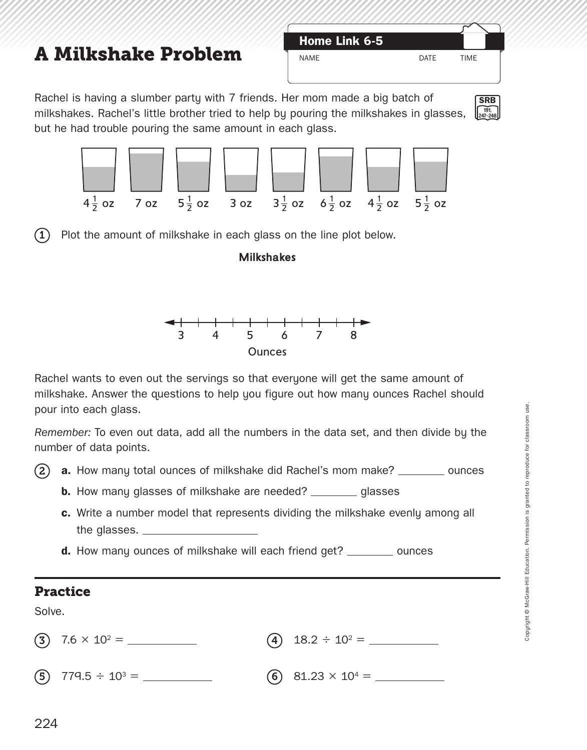# **A Milkshake Problem** NAME DATE TIME

| <b>Home Link 6-5</b> |  |
|----------------------|--|
| <b>NAMF</b>          |  |

**SRB 191, 247–248**

Rachel is having a slumber party with 7 friends. Her mom made a big batch of milkshakes. Rachel's little brother tried to help by pouring the milkshakes in glasses, but he had trouble pouring the same amount in each glass.



 $(1)$  Plot the amount of milkshake in each glass on the line plot below.

#### **Milkshakes**



Rachel wants to even out the servings so that everyone will get the same amount of milkshake. Answer the questions to help you figure out how many ounces Rachel should pour into each glass.

*Remember:* To even out data, add all the numbers in the data set, and then divide by the number of data points.

(2) **a.** How many total ounces of milkshake did Rachel's mom make? \_\_\_\_\_\_\_\_ ounces

- **b.** How many glasses of milkshake are needed? \_\_\_\_\_\_\_\_ glasses
- **c.** Write a number model that represents dividing the milkshake evenly among all the glasses.
- **d.** How many ounces of milkshake will each friend get? \_\_\_\_\_\_\_\_\_ ounces

#### **Practice**

Solve.

| $(3)$ 7.6 $\times$ 10 <sup>2</sup> = | (4) $18.2 \div 10^2 =$    |
|--------------------------------------|---------------------------|
| (5) 779.5 $\div$ 10 <sup>3</sup> =   | (6) $81.23 \times 10^4 =$ |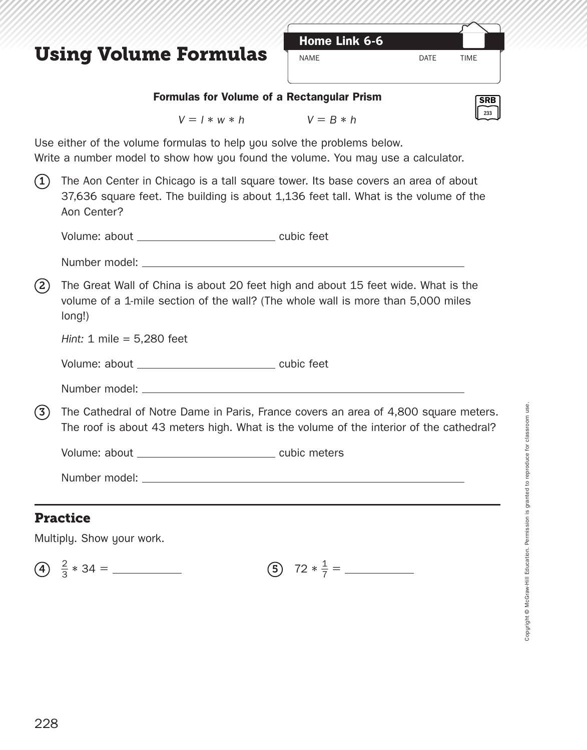### **Using Volume Formulas**



**SRB 233**

#### **Formulas for Volume of a Rectangular Prism**

*V* = *l* ∗ *w* ∗ *h V* = *B* ∗ *h*

Use either of the volume formulas to help you solve the problems below.

Write a number model to show how you found the volume. You may use a calculator.

 $(1)$  The Aon Center in Chicago is a tall square tower. Its base covers an area of about 37,636 square feet. The building is about 1,136 feet tall. What is the volume of the Aon Center?

Volume: about cubic feet

| Number model: |  |
|---------------|--|
|               |  |

(2) The Great Wall of China is about 20 feet high and about 15 feet wide. What is the volume of a 1-mile section of the wall? (The whole wall is more than 5,000 miles long!)

*Hint:* 1 mile = 5,280 feet

Volume: about \_\_\_\_\_\_\_\_\_\_\_\_\_\_\_\_\_\_\_\_\_\_\_\_\_\_\_\_\_\_ cubic feet

Number model:

3 The Cathedral of Notre Dame in Paris, France covers an area of 4,800 square meters. The roof is about 43 meters high. What is the volume of the interior of the cathedral?

Volume: about \_\_\_\_\_\_\_\_\_\_\_\_\_\_\_\_\_\_\_\_\_\_\_\_\_\_\_\_\_\_\_\_ cubic meters

Number model:

#### **Practice**

Multiply. Show your work.

4)  $\frac{2}{3}$ 3 <sup>∗</sup> 34 <sup>=</sup> <sup>5</sup> <sup>72</sup><sup>∗</sup> \_

 $\frac{1}{7}$  =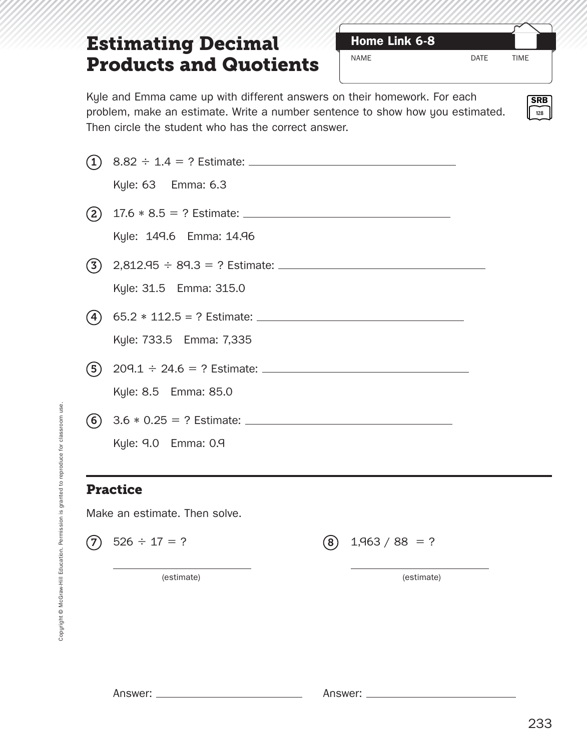## **Estimating Decimal Home Link 6-8 Products and Quotients**

NAME DATE TIME

Kyle and Emma came up with different answers on their homework. For each problem, make an estimate. Write a number sentence to show how you estimated. Then circle the student who has the correct answer.

|                                                                  | $\bf(1)$ |                               |     |                  |
|------------------------------------------------------------------|----------|-------------------------------|-----|------------------|
|                                                                  |          | Kyle: 63 Emma: 6.3            |     |                  |
|                                                                  | (2)      |                               |     |                  |
|                                                                  |          | Kyle: 149.6 Emma: 14.96       |     |                  |
|                                                                  | (3)      |                               |     |                  |
|                                                                  |          | Kyle: 31.5 Emma: 315.0        |     |                  |
|                                                                  | (4)      |                               |     |                  |
|                                                                  |          | Kyle: 733.5 Emma: 7,335       |     |                  |
|                                                                  | (5)      |                               |     |                  |
|                                                                  |          | Kyle: 8.5 Emma: 85.0          |     |                  |
|                                                                  |          |                               |     |                  |
|                                                                  |          | Kyle: 9.0 Emma: 0.9           |     |                  |
|                                                                  |          | <b>Practice</b>               |     |                  |
|                                                                  |          | Make an estimate. Then solve. |     |                  |
| Education. Permission is granted to reproduce for classroom use. |          | $(7)$ 526 ÷ 17 = ?            | (8) | $1,963 / 88 = ?$ |
|                                                                  |          | (estimate)                    |     |                  |
|                                                                  |          |                               |     | (estimate)       |
|                                                                  |          |                               |     |                  |
| Copyright @ McGraw-Hill                                          |          |                               |     |                  |
|                                                                  |          |                               |     |                  |
|                                                                  |          |                               |     |                  |
|                                                                  |          |                               |     |                  |
|                                                                  |          |                               |     |                  |
|                                                                  |          |                               |     |                  |
|                                                                  |          |                               |     |                  |

### **Practice**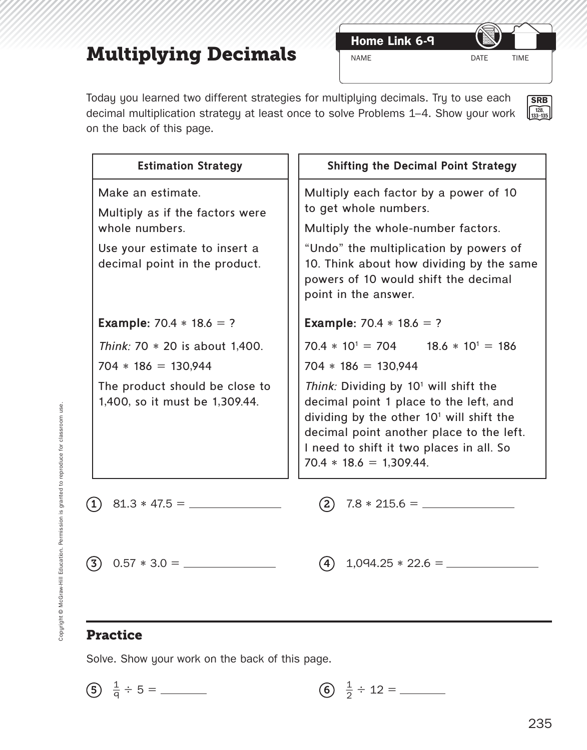# **Multiplying Decimals**

**Home Link 6-9**

**SRB 128, 133–135**

Today you learned two different strategies for multiplying decimals. Try to use each decimal multiplication strategy at least once to solve Problems 1-4. Show your work on the back of this page.

| <b>Estimation Strategy</b>                                             | <b>Shifting the Decimal Point Strategy</b>                                                                                                                                                                                                                      |
|------------------------------------------------------------------------|-----------------------------------------------------------------------------------------------------------------------------------------------------------------------------------------------------------------------------------------------------------------|
| Make an estimate.<br>Multiply as if the factors were<br>whole numbers. | Multiply each factor by a power of 10<br>to get whole numbers.<br>Multiply the whole-number factors.                                                                                                                                                            |
| Use your estimate to insert a<br>decimal point in the product.         | "Undo" the multiplication by powers of<br>10. Think about how dividing by the same<br>powers of 10 would shift the decimal<br>point in the answer.                                                                                                              |
| <b>Example:</b> 70.4 $*$ 18.6 = ?                                      | <b>Example:</b> 70.4 $*$ 18.6 = ?                                                                                                                                                                                                                               |
| Think: 70 * 20 is about 1,400.                                         | $70.4 * 10^{1} = 704$ 18.6 $* 10^{1} = 186$                                                                                                                                                                                                                     |
| $704 * 186 = 130,944$                                                  | $704 * 186 = 130,944$                                                                                                                                                                                                                                           |
| The product should be close to<br>1,400, so it must be 1,309.44.       | Think: Dividing by 10 <sup>1</sup> will shift the<br>decimal point 1 place to the left, and<br>dividing by the other $101$ will shift the<br>decimal point another place to the left.<br>I need to shift it two places in all. So<br>$70.4 * 18.6 = 1,309.44$ . |
| (1)                                                                    |                                                                                                                                                                                                                                                                 |
| (3)                                                                    |                                                                                                                                                                                                                                                                 |

### **Practice**

Solve. Show your work on the back of this page.

(5) 
$$
\frac{1}{q} \div 5 =
$$
 \_\_\_\_\_\_\_ (6)  $\frac{1}{2} \div 12 =$  \_\_\_\_\_\_\_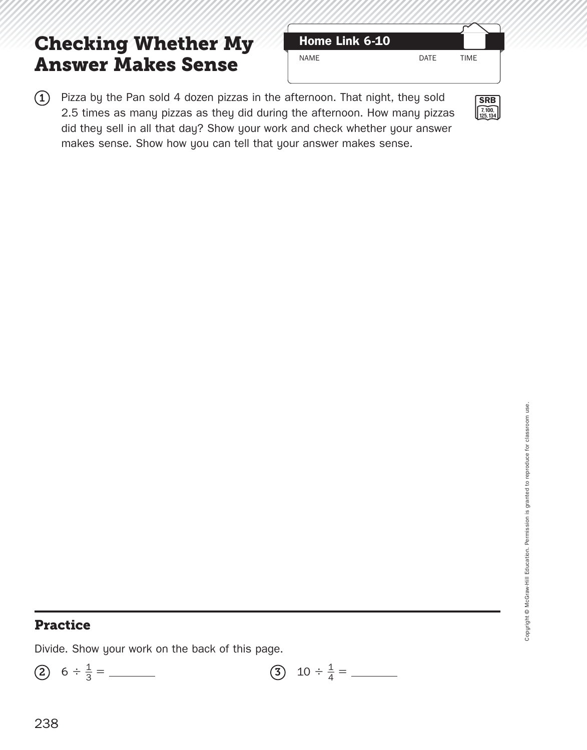## **Checking Whether My Answer Makes Sense**

| Home Link 6-10 |      |             |
|----------------|------|-------------|
| NAME           | DATF | <b>TIME</b> |
|                |      |             |



 $(1)$  Pizza by the Pan sold 4 dozen pizzas in the afternoon. That night, they sold 2.5 times as many pizzas as they did during the afternoon. How many pizzas did they sell in all that day? Show your work and check whether your answer makes sense. Show how you can tell that your answer makes sense.

### **Practice**

Divide. Show your work on the back of this page.

2 6 ÷ \_ 1 <sup>3</sup> <sup>=</sup> <sup>3</sup> 10 <sup>÷</sup>  $\frac{1}{4}$  =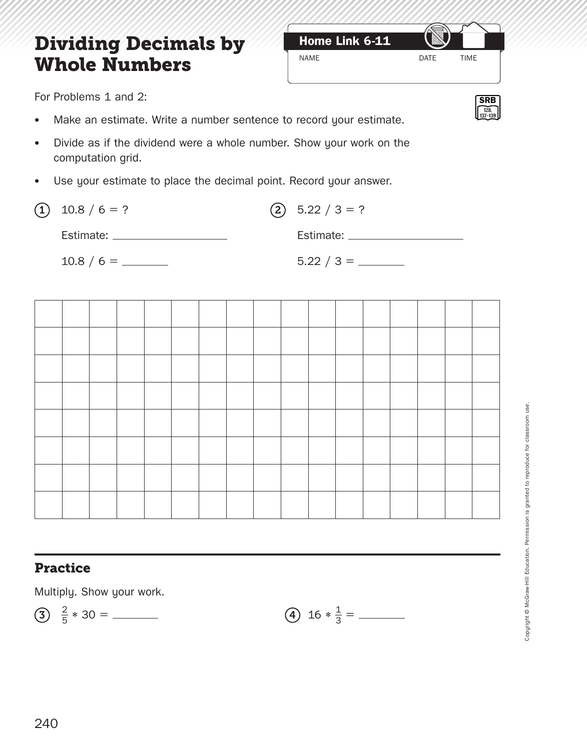## **Dividing Decimals by Home Link 6-11 Whole Numbers**

For Problems 1 and 2:

- Make an estimate. Write a number sentence to record your estimate.
- Divide as if the dividend were a whole number. Show your work on the computation grid.
- Use your estimate to place the decimal point. Record your answer.

| $(1)$ 10.8 / 6 = ?    | $(2)$ 5.22 / 3 = ?                                                                                                                                                                                                             |
|-----------------------|--------------------------------------------------------------------------------------------------------------------------------------------------------------------------------------------------------------------------------|
| Estimate: ___________ | Estimate: The Second Second Second Second Second Second Second Second Second Second Second Second Second Second Second Second Second Second Second Second Second Second Second Second Second Second Second Second Second Secon |
|                       |                                                                                                                                                                                                                                |



### **Practice**

Multiply. Show your work.

$$
(3) \frac{2}{5} * 30 = \underline{\hspace{1cm}} \qquad (4) 16 *
$$

$$
(4) 16 * \frac{1}{3} =
$$

Copyright © McGraw-Hill Education. Permission is granted to reproduce for classroom use. Copyright @ McGraw-Hill Education. Permission is granted to reproduce for classroom use.



NAME DATE TIME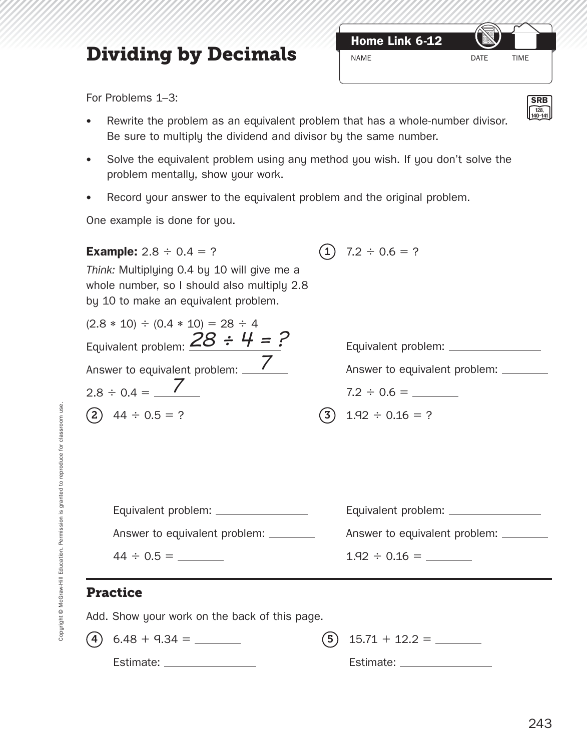# **Dividing by Decimals**

**Home Link 6-12**

**SRB 128, 140–141**

For Problems 1–3:

- Rewrite the problem as an equivalent problem that has a whole-number divisor. Be sure to multiply the dividend and divisor by the same number.
- Solve the equivalent problem using any method you wish. If you don't solve the problem mentally, show your work.
- Record your answer to the equivalent problem and the original problem.

One example is done for you.

| <b>Example:</b> $2.8 \div 0.4 = ?$                                                                                                 | $\ket{1}$  | $7.2 \div 0.6 = ?$                     |
|------------------------------------------------------------------------------------------------------------------------------------|------------|----------------------------------------|
| Think: Multiplying 0.4 by 10 will give me a<br>whole number, so I should also multiply 2.8<br>by 10 to make an equivalent problem. |            |                                        |
| $(2.8 * 10) \div (0.4 * 10) = 28 \div 4$                                                                                           |            |                                        |
| Equivalent problem: $28 \div 4 = ?$                                                                                                |            | Equivalent problem: ________________   |
| Answer to equivalent problem: \/                                                                                                   |            | Answer to equivalent problem: _______  |
| $2.8 \div 0.4 =$ /                                                                                                                 |            |                                        |
| $(2)$ 44 ÷ 0.5 = ?                                                                                                                 | $\sqrt{3}$ | $1.92 \div 0.16 = ?$                   |
|                                                                                                                                    |            |                                        |
| Equivalent problem: ________________                                                                                               |            | Equivalent problem: _______________    |
| Answer to equivalent problem: _______                                                                                              |            | Answer to equivalent problem: ________ |
| $44 \div 0.5 =$                                                                                                                    |            |                                        |
| <b>Practice</b>                                                                                                                    |            |                                        |

Add. Show your work on the back of this page.

Copyright © McGraw-Hill Education. Permission is granted to reproduce for classroom use. Copyright @ McGraw-Hill Education. Permission is granted to reproduce for classroom use.

4 6.48 + 9.34 =

Estimate:

Estimate: \_\_\_\_\_\_\_\_\_\_\_\_